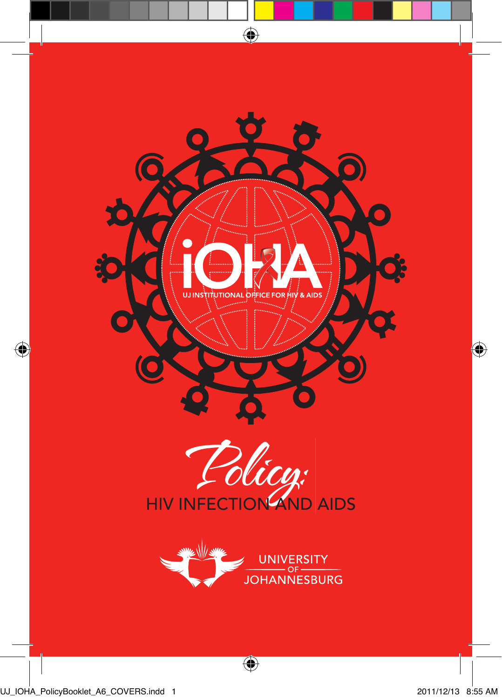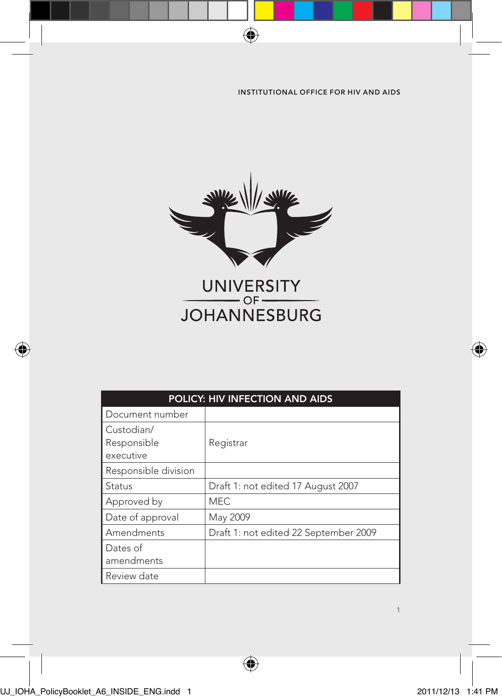

 $\bigoplus$ 

| POLICY: HIV INFECTION AND AIDS         |                                       |  |
|----------------------------------------|---------------------------------------|--|
| Document number                        |                                       |  |
| Custodian/<br>Responsible<br>executive | Registrar                             |  |
| Responsible division                   |                                       |  |
| Status                                 | Draft 1: not edited 17 August 2007    |  |
| Approved by                            | <b>MEC</b>                            |  |
| Date of approval                       | May 2009                              |  |
| Amendments                             | Draft 1: not edited 22 September 2009 |  |
| Dates of<br>amendments                 |                                       |  |
| Review date                            |                                       |  |

 $\bigoplus$ 

UJ\_IOHA\_PolicyBooklet\_A6\_INSIDE\_ENG.indd 1 2011/12/13 1:41 PM

◈

€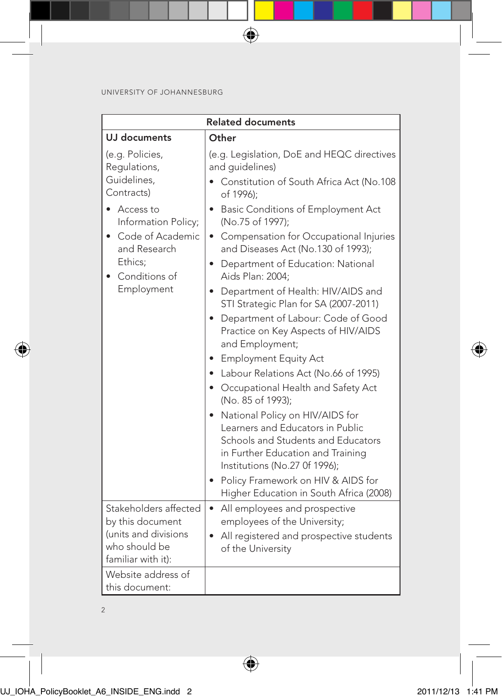| <b>Related documents</b>                                                                                                                                                             |                                                                                                                                                                                                                                                                                                                                                                                                                                                                                                                                                                                                                                                                                                                                                                                                                                                                                                                                         |  |
|--------------------------------------------------------------------------------------------------------------------------------------------------------------------------------------|-----------------------------------------------------------------------------------------------------------------------------------------------------------------------------------------------------------------------------------------------------------------------------------------------------------------------------------------------------------------------------------------------------------------------------------------------------------------------------------------------------------------------------------------------------------------------------------------------------------------------------------------------------------------------------------------------------------------------------------------------------------------------------------------------------------------------------------------------------------------------------------------------------------------------------------------|--|
| UJ documents                                                                                                                                                                         | Other                                                                                                                                                                                                                                                                                                                                                                                                                                                                                                                                                                                                                                                                                                                                                                                                                                                                                                                                   |  |
| (e.g. Policies,<br>Requlations,<br>Guidelines,<br>Contracts)<br>• Access to<br>Information Policy;<br>• Code of Academic<br>and Research<br>Ethics:<br>• Conditions of<br>Employment | (e.g. Legislation, DoE and HEQC directives<br>and quidelines)<br>Constitution of South Africa Act (No.108<br>of 1996);<br>• Basic Conditions of Employment Act<br>(No.75 of 1997);<br>• Compensation for Occupational Injuries<br>and Diseases Act (No.130 of 1993);<br>• Department of Education: National<br>Aids Plan: 2004:<br>• Department of Health: HIV/AIDS and<br>STI Strategic Plan for SA (2007-2011)<br>Department of Labour: Code of Good<br>$\bullet$<br>Practice on Key Aspects of HIV/AIDS<br>and Employment;<br>• Employment Equity Act<br>• Labour Relations Act (No.66 of 1995)<br>• Occupational Health and Safety Act<br>(No. 85 of 1993);<br>• National Policy on HIV/AIDS for<br>Learners and Educators in Public<br>Schools and Students and Educators<br>in Further Education and Training<br>Institutions (No.27 Of 1996);<br>• Policy Framework on HIV & AIDS for<br>Higher Education in South Africa (2008) |  |
| Stakeholders affected<br>by this document<br>(units and divisions<br>who should be<br>familiar with it):                                                                             | All employees and prospective<br>٠<br>employees of the University;<br>• All registered and prospective students<br>of the University                                                                                                                                                                                                                                                                                                                                                                                                                                                                                                                                                                                                                                                                                                                                                                                                    |  |
| Website address of<br>this document:                                                                                                                                                 |                                                                                                                                                                                                                                                                                                                                                                                                                                                                                                                                                                                                                                                                                                                                                                                                                                                                                                                                         |  |

 $\bigoplus$ 

 $\bigoplus$ 

2

⊕

◈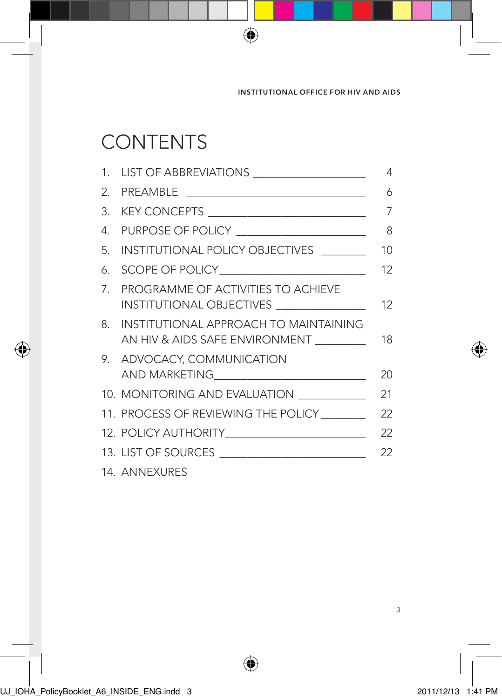# **CONTENTS**

|    | 1. LIST OF ABBREVIATIONS ___________________                                     | 4  |
|----|----------------------------------------------------------------------------------|----|
|    |                                                                                  | 6  |
|    |                                                                                  | 7  |
| 4. | PURPOSE OF POLICY _____________________                                          | 8  |
| 5. | INSTITUTIONAL POLICY OBJECTIVES _______                                          | 10 |
| 6  |                                                                                  | 12 |
|    | 7. PROGRAMME OF ACTIVITIES TO ACHIEVE<br>INSTITUTIONAL OBJECTIVES ______________ | 12 |
|    | 8. INSTITUTIONAL APPROACH TO MAINTAINING<br>AN HIV & AIDS SAFE ENVIRONMENT       | 18 |
|    | 9. ADVOCACY, COMMUNICATION<br>AND MARKETING______________________________        | 20 |
|    | 10. MONITORING AND EVALUATION __________                                         | 21 |
|    | 11. PROCESS OF REVIEWING THE POLICY                                              | 22 |
|    |                                                                                  | 22 |
|    | 13. LIST OF SOURCES                                                              | 22 |
|    | 14. ANNEXURES                                                                    |    |

⊕

 $\bigoplus$ 

 $\bigcirc$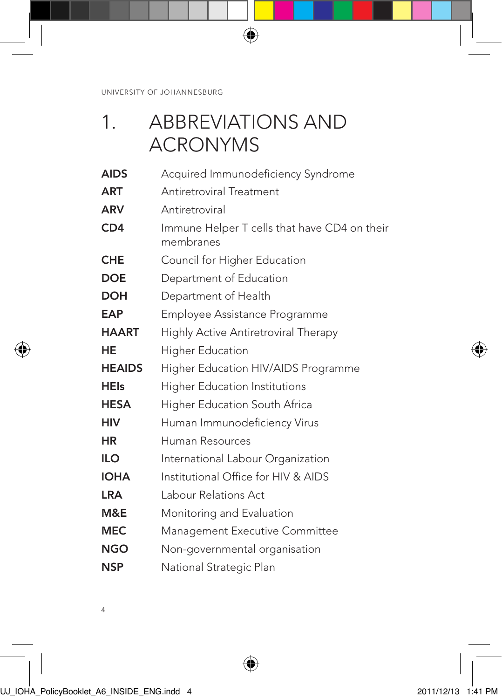# 1. ABBREVIATIONS AND ACRONYMS

 $\bigoplus$ 

| <b>AIDS</b>   | Acquired Immunodeficiency Syndrome                        |
|---------------|-----------------------------------------------------------|
| <b>ART</b>    | Antiretroviral Treatment                                  |
| <b>ARV</b>    | Antiretroviral                                            |
| CD4           | Immune Helper T cells that have CD4 on their<br>membranes |
| <b>CHE</b>    | Council for Higher Education                              |
| <b>DOE</b>    | Department of Education                                   |
| <b>DOH</b>    | Department of Health                                      |
| <b>EAP</b>    | Employee Assistance Programme                             |
| <b>HAART</b>  | Highly Active Antiretroviral Therapy                      |
| HE            | <b>Higher Education</b>                                   |
| <b>HEAIDS</b> | Higher Education HIV/AIDS Programme                       |
| <b>HEIs</b>   | <b>Higher Education Institutions</b>                      |
| <b>HESA</b>   | Higher Education South Africa                             |
| <b>HIV</b>    | Human Immunodeficiency Virus                              |
| HR            | Human Resources                                           |
| <b>ILO</b>    | International Labour Organization                         |
| <b>IOHA</b>   | Institutional Office for HIV & AIDS                       |
| <b>LRA</b>    | Labour Relations Act                                      |
| M&E           | Monitoring and Evaluation                                 |
| <b>MEC</b>    | <b>Management Executive Committee</b>                     |
| <b>NGO</b>    | Non-governmental organisation                             |
| <b>NSP</b>    | National Strategic Plan                                   |

⊕

4

◈

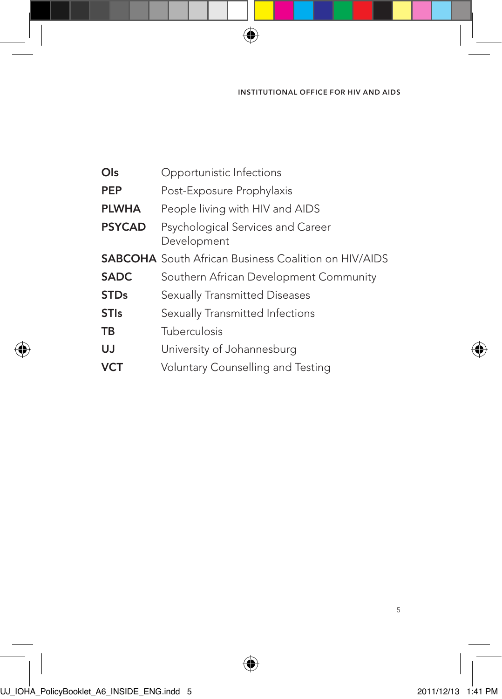| Ols           | Opportunistic Infections                                    |
|---------------|-------------------------------------------------------------|
| PEP           | Post-Exposure Prophylaxis                                   |
| <b>PLWHA</b>  | People living with HIV and AIDS                             |
| <b>PSYCAD</b> | Psychological Services and Career<br>Development            |
|               | <b>SABCOHA</b> South African Business Coalition on HIV/AIDS |
| <b>SADC</b>   | Southern African Development Community                      |
| <b>STDs</b>   | Sexually Transmitted Diseases                               |
| <b>STIs</b>   | Sexually Transmitted Infections                             |
| ΤВ            | Tuberculosis                                                |
| UJ            | University of Johannesburg                                  |
| VCT           | Voluntary Counselling and Testing                           |

 $\bigoplus$ 

⊕

◈

€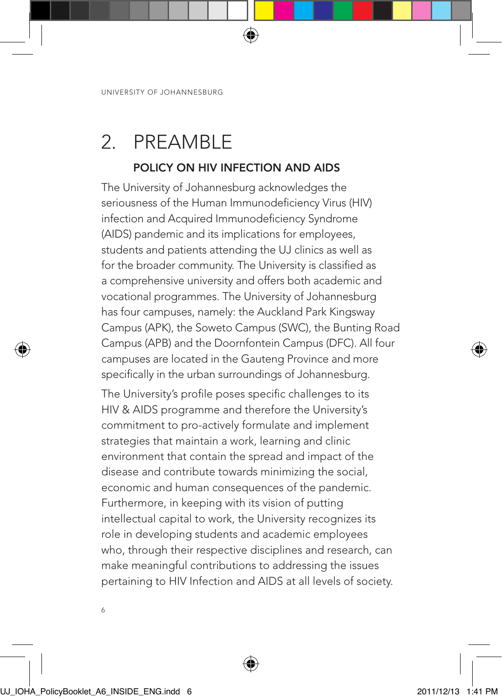# 2. PREAMBLE

### POLICY ON HIV INFECTION AND AIDS

⊕

The University of Johannesburg acknowledges the seriousness of the Human Immunodeficiency Virus (HIV) infection and Acquired Immunodeficiency Syndrome (AIDS) pandemic and its implications for employees, students and patients attending the UJ clinics as well as for the broader community. The University is classified as a comprehensive university and offers both academic and vocational programmes. The University of Johannesburg has four campuses, namely: the Auckland Park Kingsway Campus (APK), the Soweto Campus (SWC), the Bunting Road Campus (APB) and the Doornfontein Campus (DFC). All four campuses are located in the Gauteng Province and more specifically in the urban surroundings of Johannesburg. The University's profile poses specific challenges to its HIV & AIDS programme and therefore the University's commitment to pro-actively formulate and implement strategies that maintain a work, learning and clinic environment that contain the spread and impact of the disease and contribute towards minimizing the social, economic and human consequences of the pandemic. Furthermore, in keeping with its vision of putting intellectual capital to work, the University recognizes its role in developing students and academic employees

who, through their respective disciplines and research, can make meaningful contributions to addressing the issues pertaining to HIV Infection and AIDS at all levels of society.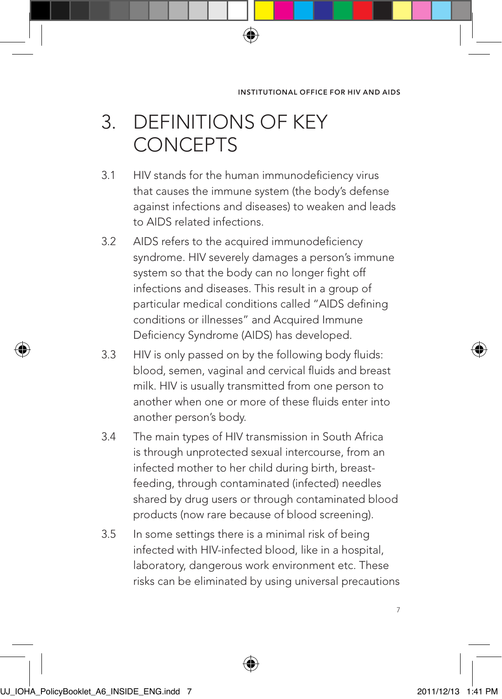# 3. DEFINITIONS OF KEY CONCEPTS

3.1 HIV stands for the human immunodeficiency virus that causes the immune system (the body's defense against infections and diseases) to weaken and leads to AIDS related infections.

⊕

- 3.2 AIDS refers to the acquired immunodeficiency syndrome. HIV severely damages a person's immune system so that the body can no longer fight off infections and diseases. This result in a group of particular medical conditions called "AIDS defining conditions or illnesses" and Acquired Immune Deficiency Syndrome (AIDS) has developed.
- 3.3 HIV is only passed on by the following body fluids: blood, semen, vaginal and cervical fluids and breast milk. HIV is usually transmitted from one person to another when one or more of these fluids enter into another person's body.
- 3.4 The main types of HIV transmission in South Africa is through unprotected sexual intercourse, from an infected mother to her child during birth, breastfeeding, through contaminated (infected) needles shared by drug users or through contaminated blood products (now rare because of blood screening).
- 3.5 In some settings there is a minimal risk of being infected with HIV-infected blood, like in a hospital, laboratory, dangerous work environment etc. These risks can be eliminated by using universal precautions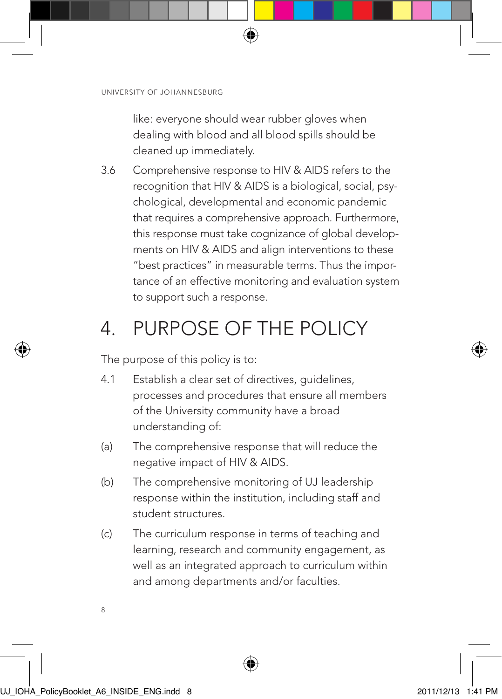like: everyone should wear rubber gloves when dealing with blood and all blood spills should be cleaned up immediately.

⊕

3.6 Comprehensive response to HIV & AIDS refers to the recognition that HIV & AIDS is a biological, social, psychological, developmental and economic pandemic that requires a comprehensive approach. Furthermore, this response must take cognizance of global developments on HIV & AIDS and align interventions to these "best practices" in measurable terms. Thus the importance of an effective monitoring and evaluation system to support such a response.

# 4. PURPOSE OF THE POLICY

The purpose of this policy is to:

- 4.1 Establish a clear set of directives, guidelines, processes and procedures that ensure all members of the University community have a broad understanding of:
- (a) The comprehensive response that will reduce the negative impact of HIV & AIDS.
- (b) The comprehensive monitoring of UJ leadership response within the institution, including staff and student structures.
- (c) The curriculum response in terms of teaching and learning, research and community engagement, as well as an integrated approach to curriculum within and among departments and/or faculties.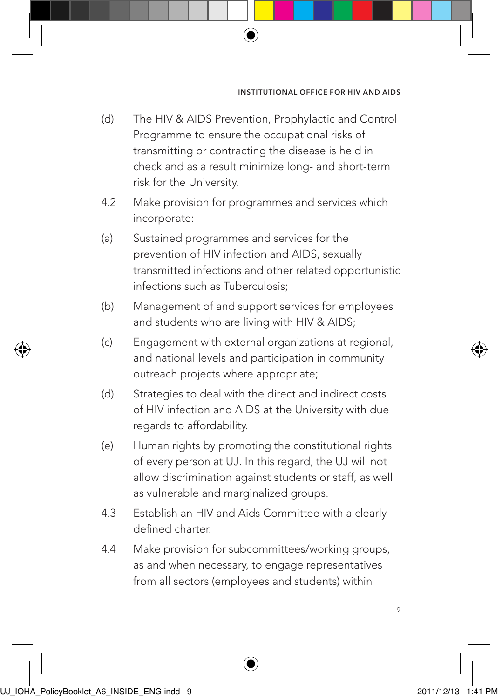(d) The HIV & AIDS Prevention, Prophylactic and Control Programme to ensure the occupational risks of transmitting or contracting the disease is held in check and as a result minimize long- and short-term risk for the University.

⊕

- 4.2 Make provision for programmes and services which incorporate:
- (a) Sustained programmes and services for the prevention of HIV infection and AIDS, sexually transmitted infections and other related opportunistic infections such as Tuberculosis;
- (b) Management of and support services for employees and students who are living with HIV & AIDS;
- (c) Engagement with external organizations at regional, and national levels and participation in community outreach projects where appropriate;
- (d) Strategies to deal with the direct and indirect costs of HIV infection and AIDS at the University with due regards to affordability.
- (e) Human rights by promoting the constitutional rights of every person at UJ. In this regard, the UJ will not allow discrimination against students or staff, as well as vulnerable and marginalized groups.
- 4.3 Establish an HIV and Aids Committee with a clearly defined charter.
- 4.4 Make provision for subcommittees/working groups, as and when necessary, to engage representatives from all sectors (employees and students) within



 $\circ$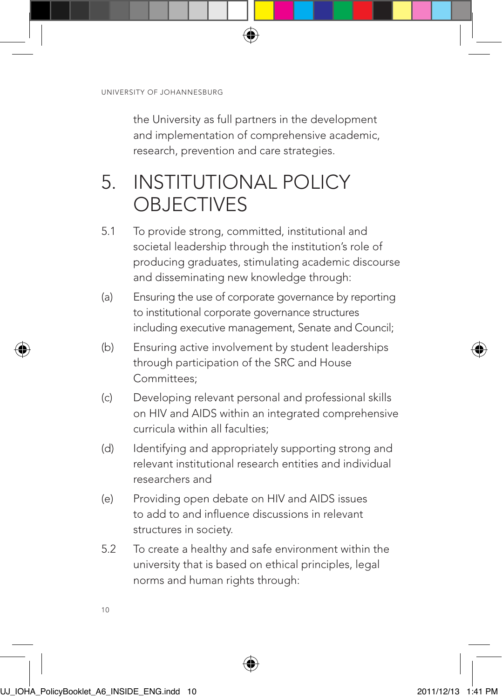the University as full partners in the development and implementation of comprehensive academic, research, prevention and care strategies.

⊕

# 5. INSTITUTIONAL POLICY **OBJECTIVES**

- 5.1 To provide strong, committed, institutional and societal leadership through the institution's role of producing graduates, stimulating academic discourse and disseminating new knowledge through:
- (a) Ensuring the use of corporate governance by reporting to institutional corporate governance structures including executive management, Senate and Council;
- (b) Ensuring active involvement by student leaderships through participation of the SRC and House Committees;
- (c) Developing relevant personal and professional skills on HIV and AIDS within an integrated comprehensive curricula within all faculties;
- (d) Identifying and appropriately supporting strong and relevant institutional research entities and individual researchers and
- (e) Providing open debate on HIV and AIDS issues to add to and influence discussions in relevant structures in society.
- 5.2 To create a healthy and safe environment within the university that is based on ethical principles, legal norms and human rights through: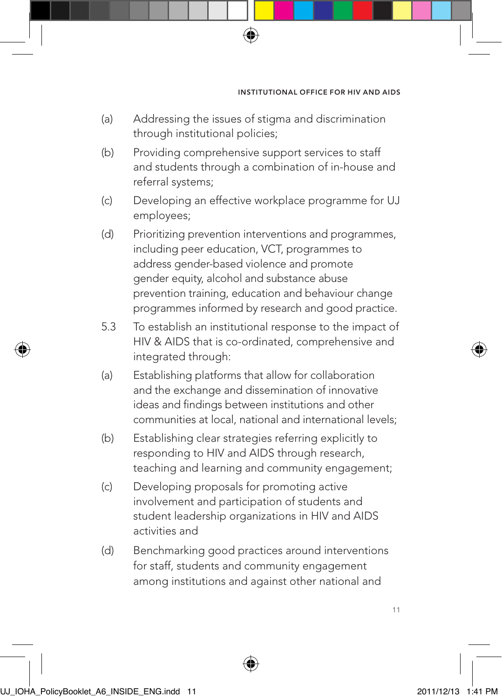(a) Addressing the issues of stigma and discrimination through institutional policies;

⊕

- (b) Providing comprehensive support services to staff and students through a combination of in-house and referral systems;
- (c) Developing an effective workplace programme for UJ employees;
- (d) Prioritizing prevention interventions and programmes, including peer education, VCT, programmes to address gender-based violence and promote gender equity, alcohol and substance abuse prevention training, education and behaviour change programmes informed by research and good practice.
- 5.3 To establish an institutional response to the impact of HIV & AIDS that is co-ordinated, comprehensive and integrated through:
- (a) Establishing platforms that allow for collaboration and the exchange and dissemination of innovative ideas and findings between institutions and other communities at local, national and international levels;
- (b) Establishing clear strategies referring explicitly to responding to HIV and AIDS through research, teaching and learning and community engagement;
- (c) Developing proposals for promoting active involvement and participation of students and student leadership organizations in HIV and AIDS activities and
- (d) Benchmarking good practices around interventions for staff, students and community engagement among institutions and against other national and

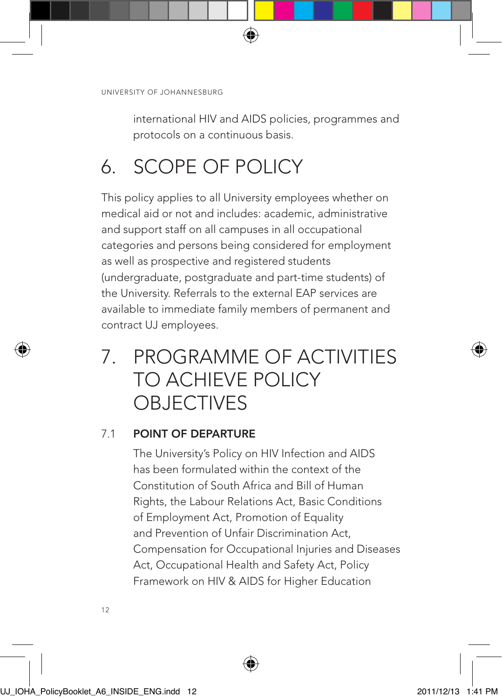international HIV and AIDS policies, programmes and protocols on a continuous basis.

⊕

# 6. SCOPE OF POLICY

This policy applies to all University employees whether on medical aid or not and includes: academic, administrative and support staff on all campuses in all occupational categories and persons being considered for employment as well as prospective and registered students (undergraduate, postgraduate and part-time students) of the University. Referrals to the external EAP services are available to immediate family members of permanent and contract UJ employees.

# 7. PROGRAMME OF ACTIVITIES TO ACHIEVE POLICY **OBJECTIVES**

### 7.1 POINT OF DEPARTURE

The University's Policy on HIV Infection and AIDS has been formulated within the context of the Constitution of South Africa and Bill of Human Rights, the Labour Relations Act, Basic Conditions of Employment Act, Promotion of Equality and Prevention of Unfair Discrimination Act, Compensation for Occupational Injuries and Diseases Act, Occupational Health and Safety Act, Policy Framework on HIV & AIDS for Higher Education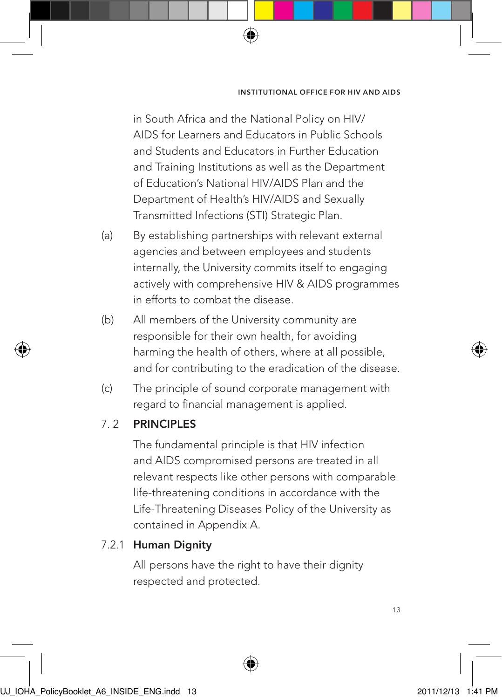in South Africa and the National Policy on HIV/ AIDS for Learners and Educators in Public Schools and Students and Educators in Further Education and Training Institutions as well as the Department of Education's National HIV/AIDS Plan and the Department of Health's HIV/AIDS and Sexually Transmitted Infections (STI) Strategic Plan.

⊕

- (a) By establishing partnerships with relevant external agencies and between employees and students internally, the University commits itself to engaging actively with comprehensive HIV & AIDS programmes in efforts to combat the disease.
- (b) All members of the University community are responsible for their own health, for avoiding harming the health of others, where at all possible, and for contributing to the eradication of the disease.
- (c) The principle of sound corporate management with regard to financial management is applied.

### 7. 2 PRINCIPLES

The fundamental principle is that HIV infection and AIDS compromised persons are treated in all relevant respects like other persons with comparable life-threatening conditions in accordance with the Life-Threatening Diseases Policy of the University as contained in Appendix A.

### 7.2.1 Human Dignity

All persons have the right to have their dignity respected and protected.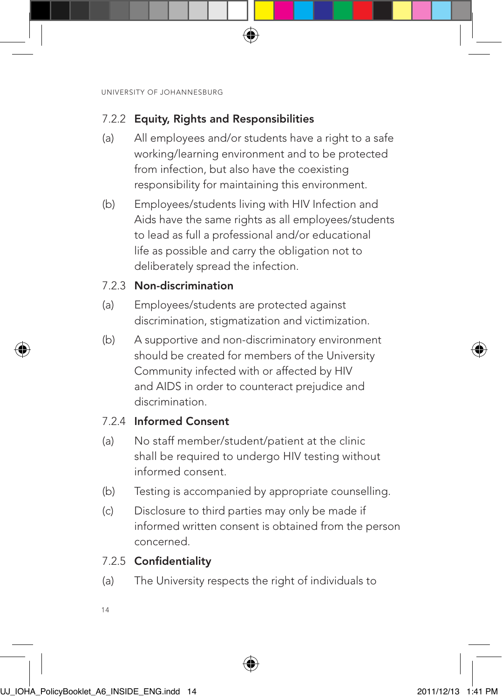### 7.2.2 Equity, Rights and Responsibilities

(a) All employees and/or students have a right to a safe working/learning environment and to be protected from infection, but also have the coexisting responsibility for maintaining this environment.

⊕

(b) Employees/students living with HIV Infection and Aids have the same rights as all employees/students to lead as full a professional and/or educational life as possible and carry the obligation not to deliberately spread the infection.

## 7.2.3 Non-discrimination

- (a) Employees/students are protected against discrimination, stigmatization and victimization.
- (b) A supportive and non-discriminatory environment should be created for members of the University Community infected with or affected by HIV and AIDS in order to counteract prejudice and discrimination.

# 7.2.4 Informed Consent

- (a) No staff member/student/patient at the clinic shall be required to undergo HIV testing without informed consent.
- (b) Testing is accompanied by appropriate counselling.
- (c) Disclosure to third parties may only be made if informed written consent is obtained from the person concerned.

### 7.2.5 Confidentiality

- (a) The University respects the right of individuals to
- 14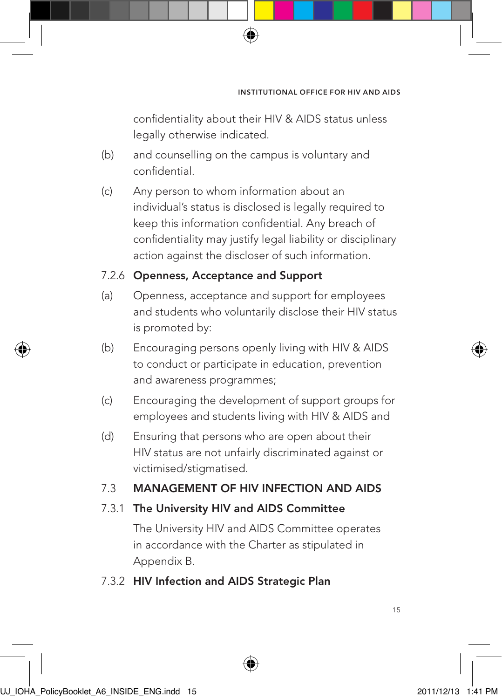confidentiality about their HIV & AIDS status unless legally otherwise indicated.

⊕

- (b) and counselling on the campus is voluntary and confidential.
- (c) Any person to whom information about an individual's status is disclosed is legally required to keep this information confidential. Any breach of confidentiality may justify legal liability or disciplinary action against the discloser of such information.

### 7.2.6 Openness, Acceptance and Support

- (a) Openness, acceptance and support for employees and students who voluntarily disclose their HIV status is promoted by:
- (b) Encouraging persons openly living with HIV & AIDS to conduct or participate in education, prevention and awareness programmes;
- (c) Encouraging the development of support groups for employees and students living with HIV & AIDS and
- (d) Ensuring that persons who are open about their HIV status are not unfairly discriminated against or victimised/stigmatised.

## 7.3 MANAGEMENT OF HIV INFECTION AND AIDS

### 7.3.1 The University HIV and AIDS Committee

The University HIV and AIDS Committee operates in accordance with the Charter as stipulated in Appendix B.

### 7.3.2 HIV Infection and AIDS Strategic Plan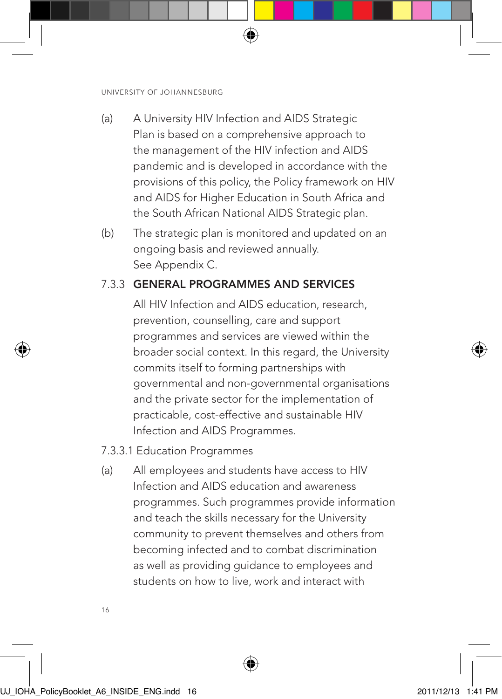- (a) A University HIV Infection and AIDS Strategic Plan is based on a comprehensive approach to the management of the HIV infection and AIDS pandemic and is developed in accordance with the provisions of this policy, the Policy framework on HIV and AIDS for Higher Education in South Africa and the South African National AIDS Strategic plan.
- (b) The strategic plan is monitored and updated on an ongoing basis and reviewed annually. See Appendix C.

# 7.3.3 GENERAL PROGRAMMES AND SERVICES

All HIV Infection and AIDS education, research, prevention, counselling, care and support programmes and services are viewed within the broader social context. In this regard, the University commits itself to forming partnerships with governmental and non-governmental organisations and the private sector for the implementation of practicable, cost-effective and sustainable HIV Infection and AIDS Programmes.

### 7.3.3.1 Education Programmes

(a) All employees and students have access to HIV Infection and AIDS education and awareness programmes. Such programmes provide information and teach the skills necessary for the University community to prevent themselves and others from becoming infected and to combat discrimination as well as providing guidance to employees and students on how to live, work and interact with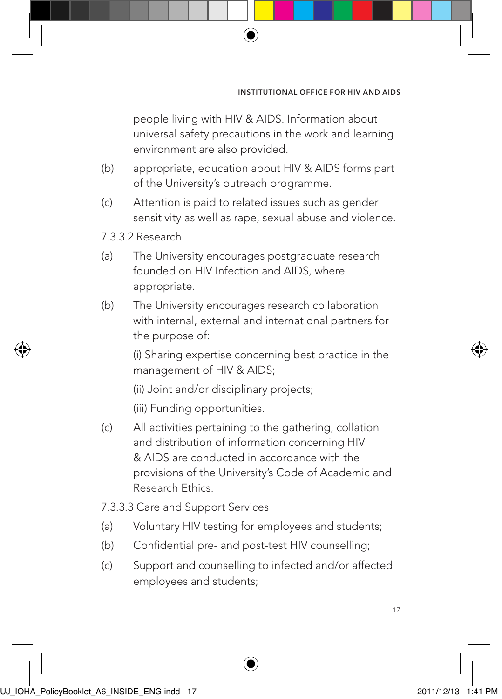people living with HIV & AIDS. Information about universal safety precautions in the work and learning environment are also provided.

(b) appropriate, education about HIV & AIDS forms part of the University's outreach programme.

⊕

(c) Attention is paid to related issues such as gender sensitivity as well as rape, sexual abuse and violence.

### 7.3.3.2 Research

- (a) The University encourages postgraduate research founded on HIV Infection and AIDS, where appropriate.
- (b) The University encourages research collaboration with internal, external and international partners for the purpose of:

(i) Sharing expertise concerning best practice in the management of HIV & AIDS;

- (ii) Joint and/or disciplinary projects;
- (iii) Funding opportunities.
- (c) All activities pertaining to the gathering, collation and distribution of information concerning HIV & AIDS are conducted in accordance with the provisions of the University's Code of Academic and Research Ethics.
- 7.3.3.3 Care and Support Services
- (a) Voluntary HIV testing for employees and students;
- (b) Confidential pre- and post-test HIV counselling;
- (c) Support and counselling to infected and/or affected employees and students;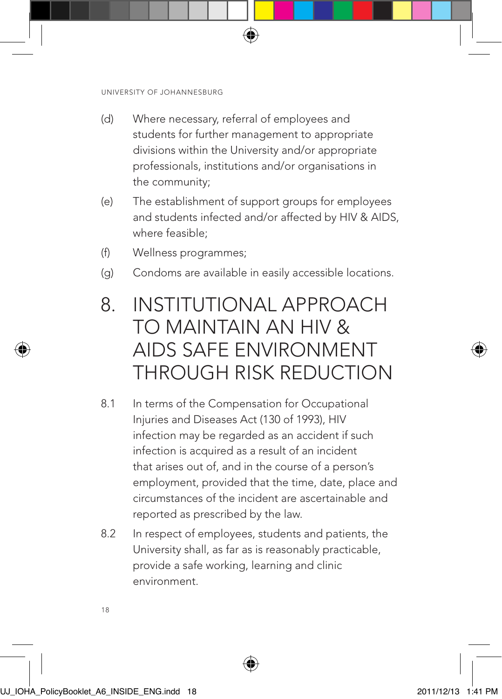(d) Where necessary, referral of employees and students for further management to appropriate divisions within the University and/or appropriate professionals, institutions and/or organisations in the community;

⊕

- (e) The establishment of support groups for employees and students infected and/or affected by HIV & AIDS, where feasible;
- (f) Wellness programmes;
- (g) Condoms are available in easily accessible locations.

# 8. INSTITUTIONAL APPROACH TO MAINTAIN AN HIV & AIDS SAFE ENVIRONMENT THROUGH RISK REDUCTION

- 8.1 In terms of the Compensation for Occupational Injuries and Diseases Act (130 of 1993), HIV infection may be regarded as an accident if such infection is acquired as a result of an incident that arises out of, and in the course of a person's employment, provided that the time, date, place and circumstances of the incident are ascertainable and reported as prescribed by the law.
- 8.2 In respect of employees, students and patients, the University shall, as far as is reasonably practicable, provide a safe working, learning and clinic environment.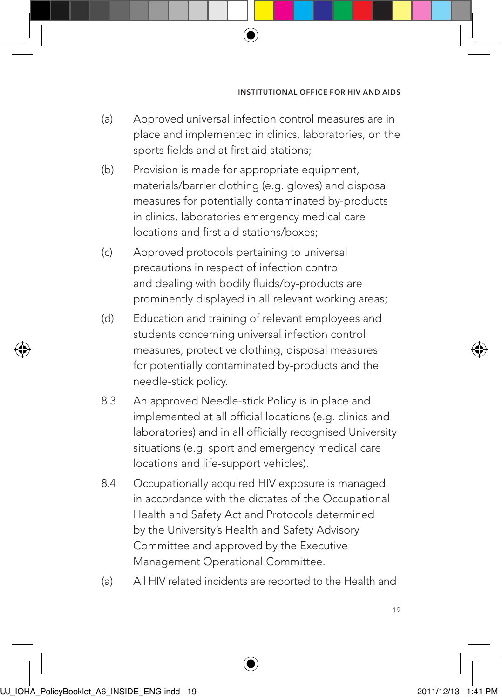(a) Approved universal infection control measures are in place and implemented in clinics, laboratories, on the sports fields and at first aid stations;

⊕

- (b) Provision is made for appropriate equipment, materials/barrier clothing (e.g. gloves) and disposal measures for potentially contaminated by-products in clinics, laboratories emergency medical care locations and first aid stations/boxes;
- (c) Approved protocols pertaining to universal precautions in respect of infection control and dealing with bodily fluids/by-products are prominently displayed in all relevant working areas;
- (d) Education and training of relevant employees and students concerning universal infection control measures, protective clothing, disposal measures for potentially contaminated by-products and the needle-stick policy.
- 8.3 An approved Needle-stick Policy is in place and implemented at all official locations (e.g. clinics and laboratories) and in all officially recognised University situations (e.g. sport and emergency medical care locations and life-support vehicles).
- 8.4 Occupationally acquired HIV exposure is managed in accordance with the dictates of the Occupational Health and Safety Act and Protocols determined by the University's Health and Safety Advisory Committee and approved by the Executive Management Operational Committee.
- (a) All HIV related incidents are reported to the Health and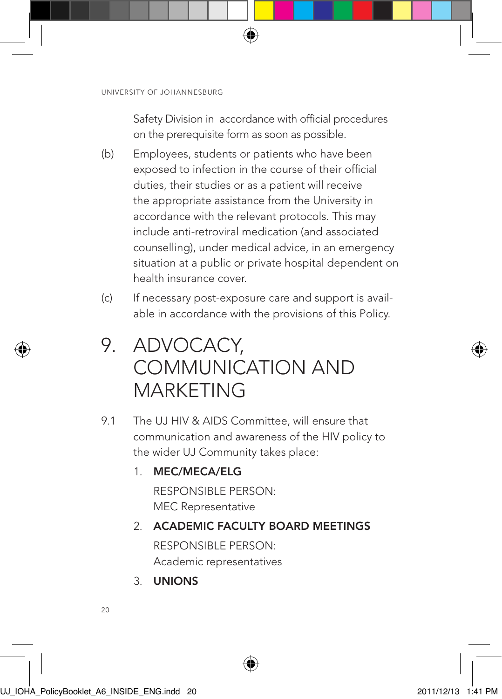Safety Division in accordance with official procedures on the prerequisite form as soon as possible.

⊕

- (b) Employees, students or patients who have been exposed to infection in the course of their official duties, their studies or as a patient will receive the appropriate assistance from the University in accordance with the relevant protocols. This may include anti-retroviral medication (and associated counselling), under medical advice, in an emergency situation at a public or private hospital dependent on health insurance cover.
- (c) If necessary post-exposure care and support is available in accordance with the provisions of this Policy.

# 9. ADVOCACY, COMMUNICATION AND MARKETING

9.1 The UJ HIV & AIDS Committee, will ensure that communication and awareness of the HIV policy to the wider UJ Community takes place:

# 1. MEC/MECA/ELG

RESPONSIBLE PERSON: MEC Representative

# 2. ACADEMIC FACULTY BOARD MEETINGS RESPONSIBLE PERSON:

Academic representatives

3. UNIONS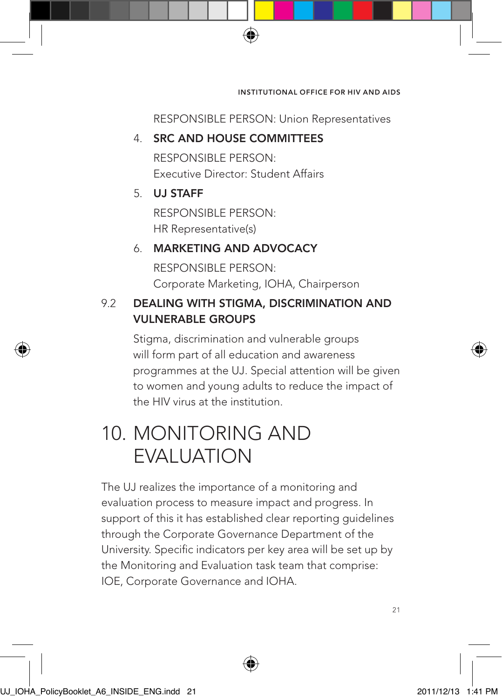RESPONSIBLE PERSON: Union Representatives

### 4. SRC AND HOUSE COMMITTEES

RESPONSIBLE PERSON: Executive Director: Student Affairs

⊕

# 5. UJ STAFF

RESPONSIBLE PERSON: HR Representative(s)

# 6. MARKETING AND ADVOCACY

RESPONSIBLE PERSON: Corporate Marketing, IOHA, Chairperson

# 9.2 DEALING WITH STIGMA, DISCRIMINATION AND VULNERABLE GROUPS

Stigma, discrimination and vulnerable groups will form part of all education and awareness programmes at the UJ. Special attention will be given to women and young adults to reduce the impact of the HIV virus at the institution.

# 10. MONITORING AND EVALUATION

The UJ realizes the importance of a monitoring and evaluation process to measure impact and progress. In support of this it has established clear reporting guidelines through the Corporate Governance Department of the University. Specific indicators per key area will be set up by the Monitoring and Evaluation task team that comprise: IOE, Corporate Governance and IOHA.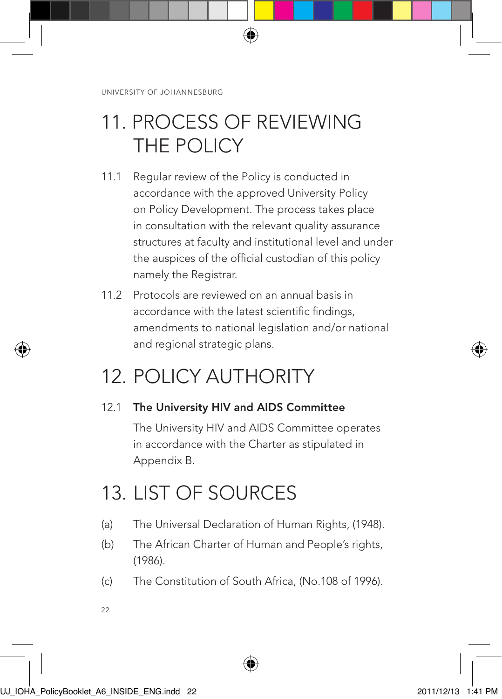# 11. PROCESS OF REVIEWING THE POLICY

⊕

- 11.1 Regular review of the Policy is conducted in accordance with the approved University Policy on Policy Development. The process takes place in consultation with the relevant quality assurance structures at faculty and institutional level and under the auspices of the official custodian of this policy namely the Registrar.
- 11.2 Protocols are reviewed on an annual basis in accordance with the latest scientific findings, amendments to national legislation and/or national and regional strategic plans.

# 12. POLICY AUTHORITY

# 12.1 The University HIV and AIDS Committee

The University HIV and AIDS Committee operates in accordance with the Charter as stipulated in Appendix B.

# 13. LIST OF SOURCES

- (a) The Universal Declaration of Human Rights, (1948).
- (b) The African Charter of Human and People's rights, (1986).
- (c) The Constitution of South Africa, (No.108 of 1996).
- $22$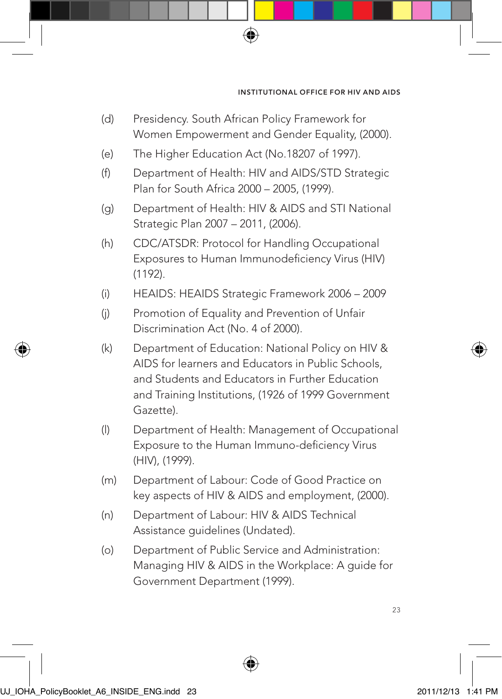(d) Presidency. South African Policy Framework for Women Empowerment and Gender Equality, (2000).

⊕

- (e) The Higher Education Act (No.18207 of 1997).
- (f) Department of Health: HIV and AIDS/STD Strategic Plan for South Africa 2000 – 2005, (1999).
- (g) Department of Health: HIV & AIDS and STI National Strategic Plan 2007 – 2011, (2006).
- (h) CDC/ATSDR: Protocol for Handling Occupational Exposures to Human Immunodeficiency Virus (HIV) (1192).
- (i) HEAIDS: HEAIDS Strategic Framework 2006 2009
- (j) Promotion of Equality and Prevention of Unfair Discrimination Act (No. 4 of 2000).
- (k) Department of Education: National Policy on HIV & AIDS for learners and Educators in Public Schools, and Students and Educators in Further Education and Training Institutions, (1926 of 1999 Government Gazette).
- (l) Department of Health: Management of Occupational Exposure to the Human Immuno-deficiency Virus (HIV), (1999).
- (m) Department of Labour: Code of Good Practice on key aspects of HIV & AIDS and employment, (2000).
- (n) Department of Labour: HIV & AIDS Technical Assistance guidelines (Undated).
- (o) Department of Public Service and Administration: Managing HIV & AIDS in the Workplace: A guide for Government Department (1999).